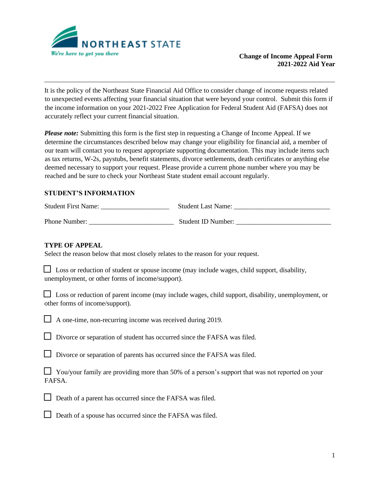

It is the policy of the Northeast State Financial Aid Office to consider change of income requests related to unexpected events affecting your financial situation that were beyond your control. Submit this form if the income information on your 2021-2022 Free Application for Federal Student Aid (FAFSA) does not accurately reflect your current financial situation.

*Please note:* Submitting this form is the first step in requesting a Change of Income Appeal. If we determine the circumstances described below may change your eligibility for financial aid, a member of our team will contact you to request appropriate supporting documentation. This may include items such as tax returns, W-2s, paystubs, benefit statements, divorce settlements, death certificates or anything else deemed necessary to support your request. Please provide a current phone number where you may be reached and be sure to check your Northeast State student email account regularly.

## **STUDENT'S INFORMATION**

Student First Name: \_\_\_\_\_\_\_\_\_\_\_\_\_\_\_\_\_\_\_\_ Student Last Name: \_\_\_\_\_\_\_\_\_\_\_\_\_\_\_\_\_\_\_\_\_\_\_\_\_\_\_\_

Phone Number: <br>Student ID Number:

## **TYPE OF APPEAL**

Select the reason below that most closely relates to the reason for your request.

| <b>Loss or reduction of student or spouse income (may include wages, child support, disability,</b> |  |
|-----------------------------------------------------------------------------------------------------|--|
| unemployment, or other forms of income/support).                                                    |  |

 $\Box$  Loss or reduction of parent income (may include wages, child support, disability, unemployment, or other forms of income/support).

A one-time, non-recurring income was received during 2019.

Divorce or separation of student has occurred since the FAFSA was filed.

Divorce or separation of parents has occurred since the FAFSA was filed.

 $\Box$  You/your family are providing more than 50% of a person's support that was not reported on your FAFSA.



Death of a spouse has occurred since the FAFSA was filed.